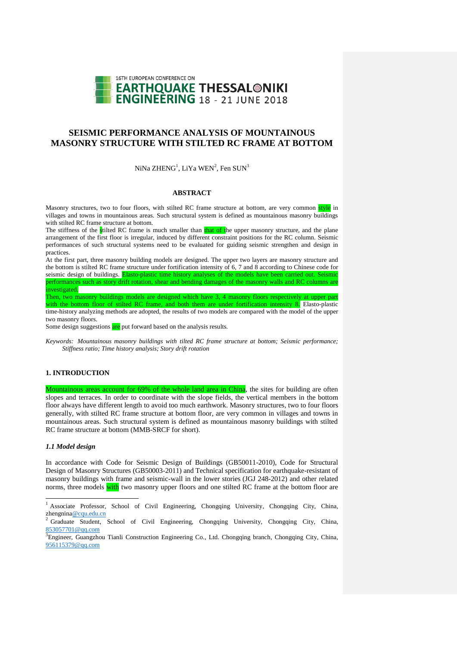

# **SEISMIC PERFORMANCE ANALYSIS OF MOUNTAINOUS MASONRY STRUCTURE WITH STILTED RC FRAME AT BOTTOM**

NiNa  $ZHENG<sup>1</sup>$ , LiYa WEN<sup>2</sup>, Fen SUN<sup>3</sup>

### **ABSTRACT**

Masonry structures, two to four floors, with stilted RC frame structure at bottom, are very common style in villages and towns in mountainous areas. Such structural system is defined as mountainous masonry buildings with stilted RC frame structure at bottom.

The stiffness of the stilted RC frame is much smaller than that of the upper masonry structure, and the plane arrangement of the first floor is irregular, induced by different constraint positions for the RC column. Seismic performances of such structural systems need to be evaluated for guiding seismic strengthen and design in practices.

At the first part, three masonry building models are designed. The upper two layers are masonry structure and the bottom is stilted RC frame structure under fortification intensity of 6, 7 and 8 according to Chinese code for seismic design of buildings. Elasto-plastic time history analyses of the models have been carried out. Seismic performances such as story drift rotation, shear and bending damages of the masonry walls and RC columns are mvestigated.

Then, two masonry buildings models are designed which have 3, 4 masonry floors respectively at upper part with the bottom floor of stilted RC frame, and both them are under fortification intensity 8. Elasto-plastic time-history analyzing methods are adopted, the results of two models are compared with the model of the upper two masonry floors.

Some design suggestions are put forward based on the analysis results.

*Keywords: Mountainous masonry buildings with tilted RC frame structure at bottom; Seismic performance; Stiffness ratio; Time history analysis; Story drift rotation*

### **1. INTRODUCTION**

Mountainous areas account for 69% of the whole land area in China, the sites for building are often slopes and terraces. In order to coordinate with the slope fields, the vertical members in the bottom floor always have different length to avoid too much earthwork. Masonry structures, two to four floors generally, with stilted RC frame structure at bottom floor, are very common in villages and towns in mountainous areas. Such structural system is defined as mountainous masonry buildings with stilted RC frame structure at bottom (MMB-SRCF for short).

### *1.1 Model design*

1

In accordance with Code for Seismic Design of Buildings (GB50011-2010), Code for Structural Design of Masonry Structures (GB50003-2011) and Technical specification for earthquake-resistant of masonry buildings with frame and seismic-wall in the lower stories (JGJ 248-2012) and other related norms, three models with two masonry upper floors and one stilted RC frame at the bottom floor are

<sup>&</sup>lt;sup>1</sup> Associate Professor, School of Civil Engineering, Chongqing University, Chongqing City, China, zhengnin[a@cqu.edu.cn](mailto:emailaddress1@canterbury.ac.nz)

<sup>2</sup> Graduate Student, School of Civil Engineering, Chongqing University, Chongqing City, China, [853057701@qq.com](mailto:853057701@qq.com)

<sup>&</sup>lt;sup>3</sup>Engineer, Guangzhou Tianli Construction Engineering Co., Ltd. Chongqing branch, Chongqing City, China, [956115379@qq.com](mailto:956115379@qq.com)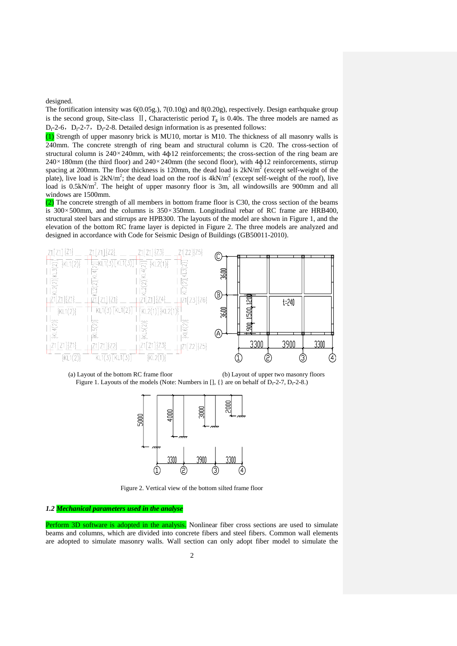designed.

The fortification intensity was 6(0.05g.), 7(0.10g) and 8(0.20g), respectively. Design earthquake group is the second group, Site-class  $\Pi$ , Characteristic period  $T_g$  is 0.40s. The three models are named as  $D_f-2-6$ ,  $D_f-2-7$ ,  $D_f-2-8$ . Detailed design information is as presented follows:

(1) Strength of upper masonry brick is MU10, mortar is M10. The thickness of all masonry walls is 240mm. The concrete strength of ring beam and structural column is C20. The cross-section of structural column is  $240 \times 240$  mm, with  $4\phi12$  reinforcements; the cross-section of the ring beam are  $240 \times 180$  mm (the third floor) and  $240 \times 240$  mm (the second floor), with  $4\phi 12$  reinforcements, stirrup spacing at 200mm. The floor thickness is 120mm, the dead load is  $2kN/m<sup>2</sup>$  (except self-weight of the plate), live load is  $2kN/m^2$ ; the dead load on the roof is  $4kN/m^2$  (except self-weight of the roof), live load is 0.5kN/m<sup>2</sup>. The height of upper masonry floor is 3m, all windowsills are 900mm and all windows are 1500mm.

(2) The concrete strength of all members in bottom frame floor is C30, the cross section of the beams is  $300 \times 500$  mm, and the columns is  $350 \times 350$  mm. Longitudinal rebar of RC frame are HRB400, structural steel bars and stirrups are HPB300. The layouts of the model are shown in Figure 1, and the elevation of the bottom RC frame layer is depicted in Figure 2. The three models are analyzed and designed in accordance with Code for Seismic Design of Buildings (GB50011-2010).



(a) Layout of the bottom RC frame floor (b) Layout of upper two masonry floors Figure 1. Layouts of the models (Note: Numbers in [], { } are on behalf of  $D_f$ -2-7,  $D_f$ -2-8.)



Figure 2. Vertical view of the bottom silted frame floor

#### *1.2 Mechanical parameters used in the analyse*

Perform 3D software is adopted in the analysis. Nonlinear fiber cross sections are used to simulate beams and columns, which are divided into concrete fibers and steel fibers. Common wall elements are adopted to simulate masonry walls. Wall section can only adopt fiber model to simulate the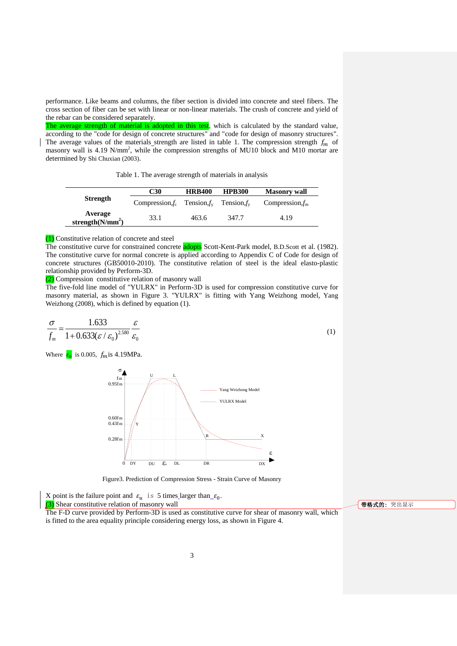performance. Like beams and columns, the fiber section is divided into concrete and steel fibers. The cross section of fiber can be set with linear or non-linear materials. The crush of concrete and yield of the rebar can be considered separately.

The average strength of material is adopted in this test, which is calculated by the standard value, according to the "code for design of concrete structures" and "code for design of masonry structures". The average values of the materials strength are listed in table 1. The compression strength  $f_m$  of masonry wall is 4.19 N/mm<sup>2</sup>, while the compression strengths of MU10 block and M10 mortar are determined by Shi Chuxian (2003).

Table 1. The average strength of materials in analysis

|                                | C30                                              | <b>HRB400</b> | <b>HPB300</b> | <b>Masonry wall</b> |
|--------------------------------|--------------------------------------------------|---------------|---------------|---------------------|
| <b>Strength</b>                | Compression, $f_c$ Tension, $f_v$ Tension, $f_v$ |               |               | Compression, $f_m$  |
| Average<br>strength $(N/mm^2)$ | 33.1                                             | 463.6         | 347.7         | 4.19                |

(1) Constitutive relation of concrete and steel

The constitutive curve for constrained concrete **adopts** Scott-Kent-Park model, B.D.Scott et al. (1982). The constitutive curve for normal concrete is applied according to Appendix C of Code for design of concrete structures (GB50010-2010). The constitutive relation of steel is the ideal elasto-plastic relationship provided by Perform-3D.

(2) Compression constitutive relation of masonry wall

The five-fold line model of "YULRX" in Perform-3D is used for compression constitutive curve for masonry material, as shown in Figure 3. "YULRX" is fitting with Yang Weizhong model, Yang Weizhong (2008), which is defined by equation (1).

$$
\frac{\sigma}{f_m} = \frac{1.633}{1 + 0.633(\varepsilon / \varepsilon_0)^{2.580}} \frac{\varepsilon}{\varepsilon_0}
$$
\n(1)

Where  $\epsilon_0$  is 0.005,  $f_m$  is 4.19MPa.



Figure3. Prediction of Compression Stress - Strain Curve of Masonry

X point is the failure point and  $\varepsilon_u$  is 5 times larger than  $\varepsilon_0$ . (3) Shear constitutive relation of masonry wall The F-D curve provided by Perform-3D is used as constitutive curve for shear of masonry wall, which is fitted to the area equality principle considering energy loss, as shown in Figure 4.

带格式的: 突出显示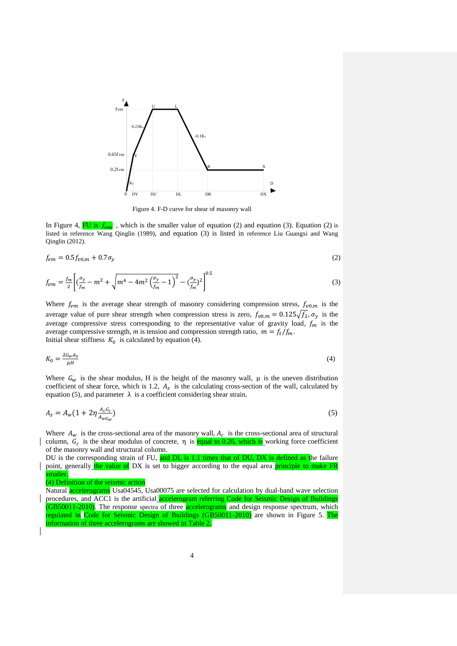

Figure 4. F-D curve for shear of masonry wall

In Figure 4, FU is  $f_{nm}$ , which is the smaller value of equation (2) and equation (3). Equation (2) is listed in reference Wang Qinglin (1989), and equation (3) is listed in reference Liu Guangxi and Wang Qinglin (2012).

$$
f_{vm} = 0.5f_{v0,m} + 0.7\sigma_y \tag{2}
$$

$$
f_{vm} = \frac{f_m}{2} \left[ \left( \frac{\sigma_y}{f_m} - m^2 + \sqrt{m^4 - 4m^2 \left( \frac{\sigma_y}{f_m} - 1 \right)^2} - \left( \frac{\sigma_y}{f_m} \right)^2 \right]^{0.5} \tag{3}
$$

Where  $f_{vm}$  is the average shear strength of masonry considering compression stress,  $f_{v0,m}$  is the average value of pure shear strength when compression stress is zero,  $f_{\nu 0,m} = 0.125 \sqrt{f_2}$ ,  $\sigma_{\nu}$  is the average compressive stress corresponding to the representative value of gravity load,  $f_m$  is the average compressive strength, *m* is tension and compression strength ratio,  $m = f_t/f_m$ . Initial shear stiffness  $K_0$  is calculated by equation (4).

$$
K_0 = \frac{\lambda G_w A_z}{\mu H} \tag{4}
$$

Where  $G_w$  is the shear modulus, H is the height of the masonry wall,  $\mu$  is the uneven distribution coefficient of shear force, which is 1.2,  $A<sub>z</sub>$  is the calculating cross-section of the wall, calculated by equation (5), and parameter  $\lambda$  is a coefficient considering shear strain.

$$
A_z = A_w (1 + 2\eta \frac{A_c G_c}{A_w G_w})
$$
\n<sup>(5)</sup>

Where  $A_w$  is the cross-sectional area of the masonry wall,  $A_c$  is the cross-sectional area of structural column,  $G_c$  is the shear modulus of concrete,  $\eta$  is equal to 0.26, which is working force coefficient of the masonry wall and structural column.

DU is the corresponding strain of FU, and DL is 1.1 times that of DU, DX is defined as the failure point, generally the value of DX is set to bigger according to the equal area principle to make FR smaller.

(4) Definition of the seismic action

Natural **accelerograms** Usa04545, Usa00075 are selected for calculation by dual-band wave selection procedures, and ACC1 is the artificial accelerogram referring Code for Seismic Design of Buildings (GB50011-2010). The response spectra of three **accelerograms** and design response spectrum, which regulated in Code for Seismic Design of Buildings (GB50011-2010) are shown in Figure 5. The information of three accelerograms are showed in Table 2.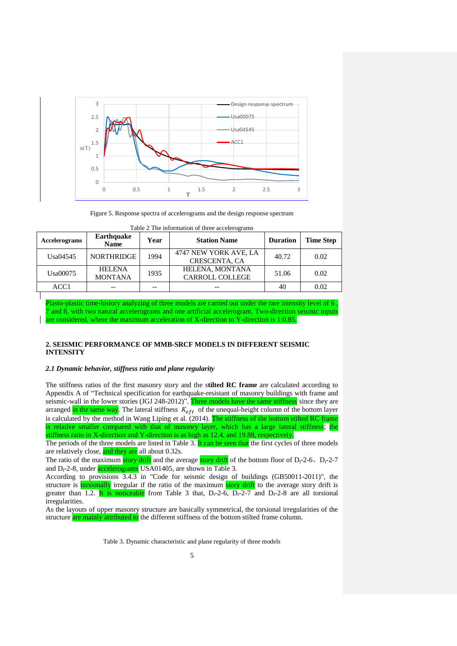

Figure 5. Response spectra of accelerograms and the design response spectrum

| Accelerograms    | Earthquake<br><b>Name</b>       | Year | <b>Station Name</b>                       | <b>Duration</b> | <b>Time Step</b> |
|------------------|---------------------------------|------|-------------------------------------------|-----------------|------------------|
| Usa04545         | <b>NORTHRIDGE</b>               | 1994 | 4747 NEW YORK AVE, LA<br>CRESCENTA, CA    | 40.72           | 0.02             |
| Usa00075         | <b>HELENA</b><br><b>MONTANA</b> | 1935 | HELENA, MONTANA<br><b>CARROLL COLLEGE</b> | 51.06           | 0.02             |
| ACC <sub>1</sub> |                                 |      | --                                        | 40              | 0.02             |

Table 2 The information of three accelerograms

Plasto-plastic time-history analyzing of three models are carried out under the rare intensity level of 6 7 and 8, with two natural accelerograms and one artificial accelerogram. Two-direction seismic inputs are considered, where the maximum acceleration of X-direction to Y-direction is 1:0.85.

### **2. SEISMIC PERFORMANCE OF MMB-SRCF MODELS IN DIFFERENT SEISMIC INTENSITY**

### *2.1 Dynamic behavior, stiffness ratio and plane regularity*

The stiffness ratios of the first masonry story and the s**tilted RC frame** are calculated according to Appendix A of "Technical specification for earthquake-resistant of masonry buildings with frame and seismic-wall in the lower stories (JGJ 248-2012)". Three models have the same stiffness since they are arranged in the same way. The lateral stiffness  $K_{\text{eff}}$  of the unequal-height column of the bottom layer is calculated by the method in Wang Liping et al. (2014). The stiffness of the bottom stilted RC frame is relative smaller compared with that of masonry layer, which has a large lateral stiffness; the stiffness ratio in X-direction and Y-direction is as high as 12.4, and 19.88, respectively.

The periods of the three models are listed in Table 3. It can be seen that the first cycles of three models are relatively close, and they are all about  $0.32$ s.

The ratio of the maximum story drift and the average story drift of the bottom floor of  $D_f-2-6$ ,  $D_f-2-7$ and  $D_f$ -2-8, under accelerograms USA01405, are shown in Table 3.

According to provisions 3.4.3 in "Code for seismic design of buildings (GB50011-2011)", the structure is **torsionally** irregular if the ratio of the maximum story drift to the average story drift is greater than 1.2. It is noticeable from Table 3 that,  $D_f$ -2-6,  $D_f$ -2-7 and  $D_f$ -2-8 are all torsional irregularities.

As the layouts of upper masonry structure are basically symmetrical, the torsional irregularities of the structure are mainly attributed to the different stiffness of the bottom stilted frame column.

Table 3. Dynamic characteristic and plane regularity of three models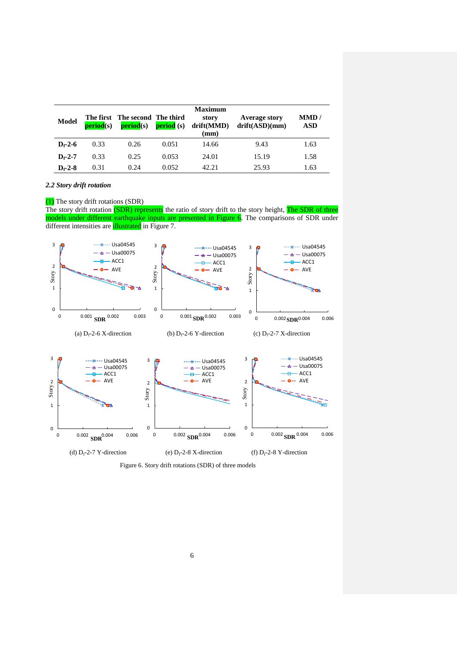| <b>Model</b>  | <b>period</b> (s) | The first The second The third<br><b>period</b> (s) | <b>period</b> (s) | <b>Maximum</b><br>story<br>drift(MMD)<br>$(\mathbf{mm})$ | <b>Average story</b><br>drift(ASD)(mm) | MMD/<br><b>ASD</b> |
|---------------|-------------------|-----------------------------------------------------|-------------------|----------------------------------------------------------|----------------------------------------|--------------------|
| $D_f - 2 - 6$ | 0.33              | 0.26                                                | 0.051             | 14.66                                                    | 9.43                                   | 1.63               |
| $D - 2 - 7$   | 0.33              | 0.25                                                | 0.053             | 24.01                                                    | 15.19                                  | 1.58               |
| $D_f - 2 - 8$ | 0.31              | 0.24                                                | 0.052             | 42.21                                                    | 25.93                                  | 1.63               |

*2.2 Story drift rotation*

(1) The story drift rotations (SDR)

The story drift rotation (SDR) represents the ratio of story drift to the story height, The SDR of three models under different earthquake inputs are presented in Figure 6. The comparisons of SDR under different intensities are **illustrated** in Figure 7.



Figure 6. Story drift rotations (SDR) of three models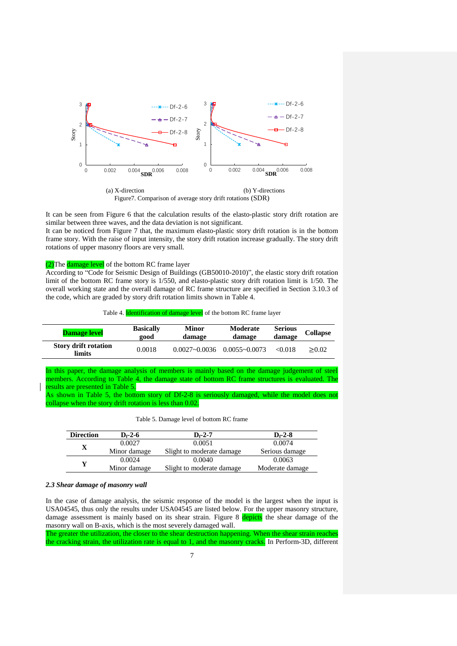

It can be seen from Figure 6 that the calculation results of the elasto-plastic story drift rotation are similar between three waves, and the data deviation is not significant.

It can be noticed from Figure 7 that, the maximum elasto-plastic story drift rotation is in the bottom frame story. With the raise of input intensity, the story drift rotation increase gradually. The story drift rotations of upper masonry floors are very small.

(2) The damage level of the bottom RC frame layer

According to "Code for Seismic Design of Buildings (GB50010-2010)", the elastic story drift rotation limit of the bottom RC frame story is 1/550, and elasto-plastic story drift rotation limit is 1/50. The overall working state and the overall damage of RC frame structure are specified in Section 3.10.3 of the code, which are graded by story drift rotation limits shown in Table 4.

Table 4. **Identification of damage level** of the bottom RC frame layer

| <b>Damage level</b>                   | <b>Basically</b><br>200d | Minor<br>damage   | Moderate<br>damage | <b>Serious</b><br>damage | <b>Collapse</b> |
|---------------------------------------|--------------------------|-------------------|--------------------|--------------------------|-----------------|
| <b>Story drift rotation</b><br>limits | 0.0018                   | $0.0027 - 0.0036$ | $0.0055 - 0.0073$  | <0.018                   | > 0.02          |

In this paper, the damage analysis of members is mainly based on the damage judgement of steel members. According to Table 4, the damage state of bottom RC frame structures is evaluated. The results are presented in Table 5.

As shown in Table 5, the bottom story of Df-2-8 is seriously damaged, while the model does not collapse when the story drift rotation is less than 0.02.

Table 5. Damage level of bottom RC frame

| <b>Direction</b> | $D - 2 - 6$  | $D - 2 - 7$                | $D_f - 2-8$     |
|------------------|--------------|----------------------------|-----------------|
|                  | 0.0027       | 0.0051                     | 0.0074          |
|                  | Minor damage | Slight to moderate damage. | Serious damage  |
| v                | 0.0024       | 0.0040                     | 0.0063          |
|                  | Minor damage | Slight to moderate damage. | Moderate damage |

### *2.3 Shear damage of masonry wall*

In the case of damage analysis, the seismic response of the model is the largest when the input is USA04545, thus only the results under USA04545 are listed below. For the upper masonry structure, damage assessment is mainly based on its shear strain. Figure 8 depicts the shear damage of the masonry wall on B-axis, which is the most severely damaged wall.

The greater the utilization, the closer to the shear destruction happening. When the shear strain reaches the cracking strain, the utilization rate is equal to 1, and the masonry cracks. In Perform-3D, different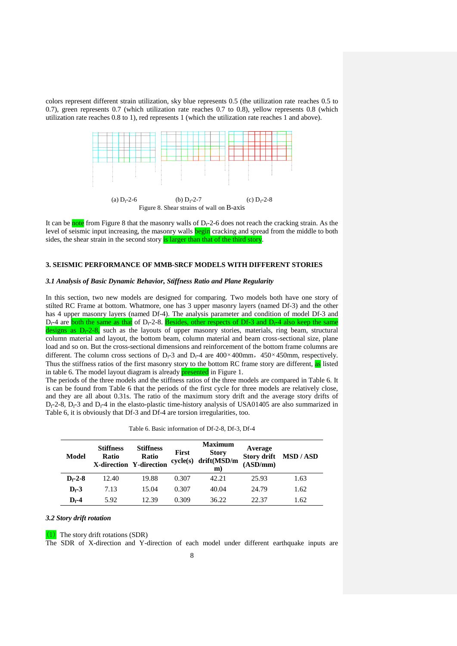colors represent different strain utilization, sky blue represents 0.5 (the utilization rate reaches 0.5 to 0.7), green represents 0.7 (which utilization rate reaches 0.7 to 0.8), yellow represents 0.8 (which utilization rate reaches 0.8 to 1), red represents 1 (which the utilization rate reaches 1 and above).



It can be **note** from Figure 8 that the masonry walls of  $D_f$ -2-6 does not reach the cracking strain. As the level of seismic input increasing, the masonry walls **begin** cracking and spread from the middle to both sides, the shear strain in the second story is larger than that of the third story.

### **3. SEISMIC PERFORMANCE OF MMB-SRCF MODELS WITH DIFFERENT STORIES**

### *3.1 Analysis of Basic Dynamic Behavior, Stiffness Ratio and Plane Regularity*

In this section, two new models are designed for comparing. Two models both have one story of stilted RC Frame at bottom. Whatmore, one has 3 upper masonry layers (named Df-3) and the other has 4 upper masonry layers (named Df-4). The analysis parameter and condition of model Df-3 and  $D_f$ -4 are both the same as that of  $D_f$ -2-8. Besides, other respects of Df-3 and  $D_f$ -4 also keep the same designs as  $D_f$ -2-8, such as the layouts of upper masonry stories, materials, ring beam, structural column material and layout, the bottom beam, column material and beam cross-sectional size, plane load and so on. But the cross-sectional dimensions and reinforcement of the bottom frame columns are different. The column cross sections of  $D_f$ -3 and  $D_f$ -4 are 400×400mm, 450×450mm, respectively. Thus the stiffness ratios of the first masonry story to the bottom RC frame story are different, as listed in table 6. The model layout diagram is already **presented** in Figure 1.

The periods of the three models and the stiffness ratios of the three models are compared in Table 6. It is can be found from Table 6 that the periods of the first cycle for three models are relatively close, and they are all about 0.31s. The ratio of the maximum story drift and the average story drifts of  $D_f-2-8$ ,  $D_f-3$  and  $D_f-4$  in the elasto-plastic time-history analysis of USA01405 are also summarized in Table 6, it is obviously that Df-3 and Df-4 are torsion irregularities, too.

| Table 6. Basic information of Df-2-8, Df-3, Df-4 |  |
|--------------------------------------------------|--|
|                                                  |  |

| Model       | <b>Stiffness</b><br><b>Ratio</b> | <b>Stiffness</b><br><b>Ratio</b><br><b>X-direction Y-direction</b> | <b>First</b><br>cycle(s) | <b>Maximum</b><br><b>Story</b><br>drift(MSD/m<br>m) | Average<br>(ASD/mm) | Story drift MSD / ASD |
|-------------|----------------------------------|--------------------------------------------------------------------|--------------------------|-----------------------------------------------------|---------------------|-----------------------|
| $D_f - 2-8$ | 12.40                            | 19.88                                                              | 0.307                    | 42.21                                               | 25.93               | 1.63                  |
| $D_f - 3$   | 7.13                             | 15.04                                                              | 0.307                    | 40.04                                               | 24.79               | 1.62                  |
| $D_f - 4$   | 5.92                             | 12.39                                                              | 0.309                    | 36.22                                               | 22.37               | 1.62                  |

### *3.2 Story drift rotation*

(1) The story drift rotations (SDR)

The SDR of X-direction and Y-direction of each model under different earthquake inputs are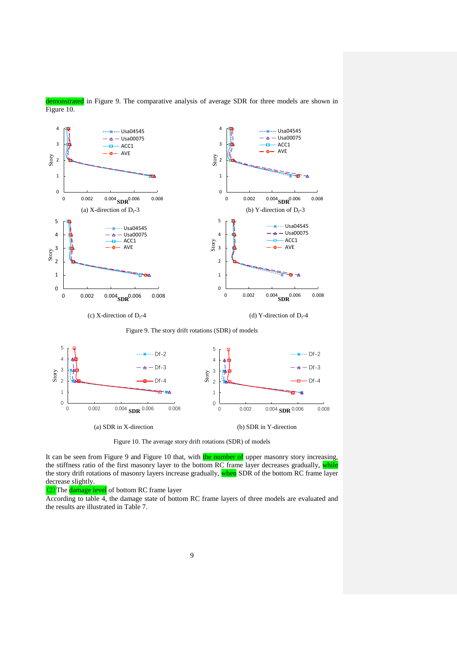

demonstrated in Figure 9. The comparative analysis of average SDR for three models are shown in Figure 10.

Figure 10. The average story drift rotations (SDR) of models

It can be seen from Figure 9 and Figure 10 that, with the number of upper masonry story increasing, the stiffness ratio of the first masonry layer to the bottom RC frame layer decreases gradually, while the story drift rotations of masonry layers increase gradually, when SDR of the bottom RC frame layer decrease slightly.

(2) The damage level of bottom RC frame layer

According to table 4, the damage state of bottom RC frame layers of three models are evaluated and the results are illustrated in Table 7.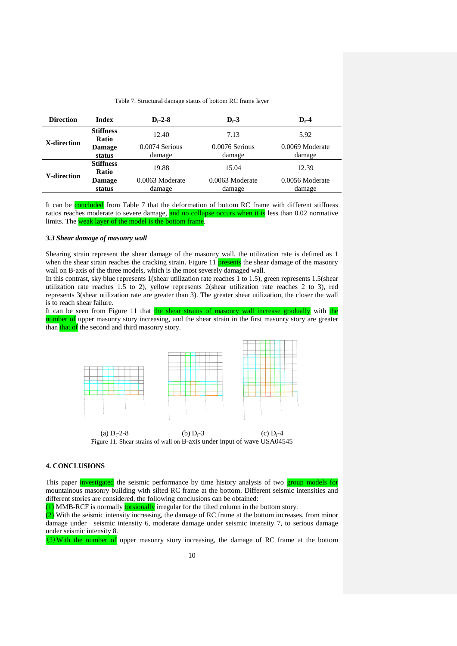| Table 7. Structural damage status of bottom RC frame layer |  |  |  |  |  |  |  |
|------------------------------------------------------------|--|--|--|--|--|--|--|
|------------------------------------------------------------|--|--|--|--|--|--|--|

| <b>Direction</b>   | <b>Index</b><br>$D_f - 2-8$      |                             | $D - 3$                     | $D_f - 4$                   |  |
|--------------------|----------------------------------|-----------------------------|-----------------------------|-----------------------------|--|
|                    | <b>Stiffness</b><br><b>Ratio</b> | 12.40                       | 7.13                        | 5.92                        |  |
| X-direction        | <b>Damage</b><br>status          | 0.0074 Serious<br>damage    | $0.0076$ Serious<br>damage  | 0.0069 Moderate<br>damage   |  |
| <b>Y-direction</b> | <b>Stiffness</b><br><b>Ratio</b> | 19.88                       | 15.04                       | 12.39                       |  |
|                    | <b>Damage</b><br>status          | $0.0063$ Moderate<br>damage | $0.0063$ Moderate<br>damage | $0.0056$ Moderate<br>damage |  |

It can be **concluded** from Table 7 that the deformation of bottom RC frame with different stiffness ratios reaches moderate to severe damage, and no collapse occurs when it is less than 0.02 normative limits. The weak layer of the model is the bottom frame.

### *3.3 Shear damage of masonry wall*

Shearing strain represent the shear damage of the masonry wall, the utilization rate is defined as 1 when the shear strain reaches the cracking strain. Figure 11 **presents** the shear damage of the masonry wall on B-axis of the three models, which is the most severely damaged wall.

In this contrast, sky blue represents 1(shear utilization rate reaches 1 to 1.5), green represents 1.5(shear utilization rate reaches 1.5 to 2), yellow represents 2(shear utilization rate reaches 2 to 3), red represents 3(shear utilization rate are greater than 3). The greater shear utilization, the closer the wall is to reach shear failure.

It can be seen from Figure 11 that the shear strains of masonry wall increase gradually with the number of upper masonry story increasing, and the shear strain in the first masonry story are greater than that of the second and third masonry story.



Figure 11. Shear strains of wall on B-axis under input of wave USA04545

## **4. CONCLUSIONS**

This paper **investigated** the seismic performance by time history analysis of two **group models for** mountainous masonry building with silted RC frame at the bottom. Different seismic intensities and different stories are considered, the following conclusions can be obtained:

(1) MMB-RCF is normally **torsionally** irregular for the tilted column in the bottom story.

(2) With the seismic intensity increasing, the damage of RC frame at the bottom increases, from minor damage under seismic intensity 6, moderate damage under seismic intensity 7, to serious damage under seismic intensity 8.

(3)With the number of upper masonry story increasing, the damage of RC frame at the bottom